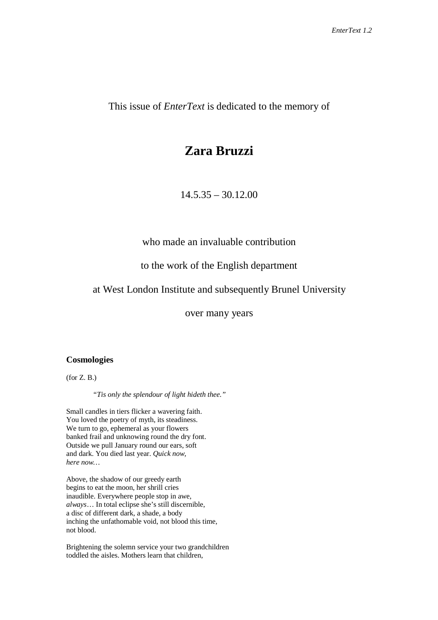This issue of *EnterText* is dedicated to the memory of

## **Zara Bruzzi**

 $14.5.35 - 30.12.00$ 

who made an invaluable contribution

## to the work of the English department

## at West London Institute and subsequently Brunel University

over many years

## **Cosmologies**

 $($ for  $Z$ . B. $)$ 

*"Tis only the splendour of light hideth thee."*

Small candles in tiers flicker a wavering faith. You loved the poetry of myth, its steadiness. We turn to go, ephemeral as your flowers banked frail and unknowing round the dry font. Outside we pull January round our ears, soft and dark. You died last year. *Quick now, here now…*

Above, the shadow of our greedy earth begins to eat the moon, her shrill cries inaudible. Everywhere people stop in awe, *always*… In total eclipse she's still discernible, a disc of different dark, a shade, a body inching the unfathomable void, not blood this time, not blood.

Brightening the solemn service your two grandchildren toddled the aisles. Mothers learn that children,